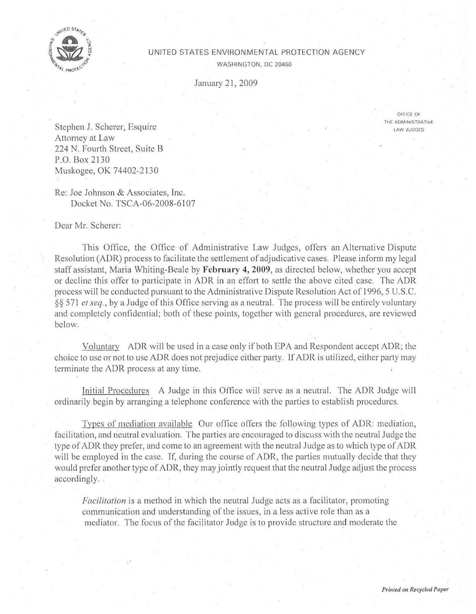

## UNITED STATES ENVIRONMENTAL PROTECTION AGENCY

WASHINGTON. DC 20460

January 21, 2009

OFriCE OF THE AOM•NISTRATIVE LAW JUDGES

Stephen J. Scherer, Esquire Attorney at Law 224 N. Fourth Street, Suite B P.O. Box 2 I 30 Muskogee, OK 74402-2130

Re: Joe Johnson & Associates, Inc. Docket No. TSCA-06-2008-6107

Dear Mr. Scherer:

This Office, the Office of Administrative Law Judges, offers an Alternative Dispute Resolution (ADR) process to facilitate the settlement of adjudicative cases. Please inform my legal staff assistant, Maria Whiting-Deale by **February 4, 2009,** as directed below, whether you accept or decline this offer to participate in ADR in an effort to settle the above cited case. The ADR process will be conducted pursuant to the Administrative Dispute Resolution Act of 1996, 5 U.S.C. §§ 57 1 *et seq.,* by a Judge of this Office serving as a neutral. The process will be entirely voluntary and completely confidential; both of these points, together with general procedures, are reviewed below.

Voluntary ADR will be used in a case only if both EPA and Respondent accept ADR; the choice to use or not to use ADR does not prejudice either party. If ADR is utilized, either party may terminate the ADR process at any time.

Initial Procedures A Judge in this Office will serve as a neutral. The ADR Judge will ordinarily begin by arranging a telephone conference with the parties to establish procedures.

Types of mediation available Our office offers the following types of ADR: mediation, facilitation, and neutral evaluation. The parties are encouraged to discuss with the neutral Judge the type of ADR they prefer, and come to an agreement with the neutral Judge as to which type of ADR will be employed in the case. If, during the course of ADR, the parties mutually decide that they would prefer another type of ADR, they may jointly request that the neutral Judge adjust the process accordingly.

*Facilitation* is a method in which the neutral Judge acts as a facilitator, promoting communication and understanding of the issues, in a less active role than as a mediator. The focus of the facilitator Judge is to provide structure and moderate the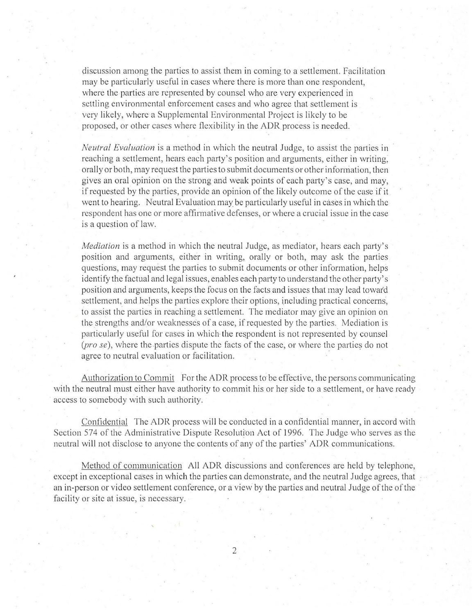discussion among the parties to assist them in coming to a settlement. Facilitation may be particularly useful in cases where there is more than one respondent, where the parties are represented by counsel who are very experienced in settling environmental enforcement cases and who agree that settlement is very likely, where a Supplemental Environmental Project is likely to be proposed, or other cases where flexibility in the ADR process is needed.

*Neutral Evaluation* is a method in which the neutral Judge, to assist the parties in reaching a settlement, hears each party's position and arguments, either in writing, orally or both, may request the parties to submit documents or other information, then gives an oral opinion on the strong and weak points of each party's case, and may, if requested by the parties, provide an opinion of the likely outcome of the case if it went to hearing. Neutral Evaluation may be particularly useful in cases in which the respondent has one or more affirmative defenses, or where a crucial issue in the case is a question of law.

*Mediation* is a method in which the neutral Judge, as mediator, hears each party's position and arguments, either in writing, orally or both, may ask the parties questions, may request the parties to submit documents or other information, helps identify the factual and legal issues, enables each party to understand the other party's position and arguments, keeps the focus on the facts and issues that may lead towat'd settlement, and helps the parties explore their options, including practical concerns, to assist the parties in reaching a settlement. The mediator may give an opinion on the strengths and/or weaknesses of a case, if requested by the parties. Mediation is particularly useful for cases in which the respondent is not represented by counsel *(pro se)*, where the parties dispute the facts of the case, or where the parties do not agree to neutral evaluation or facilitation.

Authorization to Commit For the ADR process to be effective, the persons communicating with the neutral must either have authority to commit his or her side to a settlement, or have ready access to somebody with such authority.

Confidential The ADR process will be conducted in a confidential manner, in accord with Section 574 of the Administrative Dispute Resolution Act of 1996. The Judge who serves as the neutral will not disclose to anyone the contents of any of the parties' ADR communications.

Method of communication All ADR discussions and conferences are held by telephone, except in exceptional cases in which the parties can demonstrate, and the neutral Judge agrees, that an in-person or video settlement conference, or a view by the parties and neutral Judge of the of the facility or site at issue, is necessary.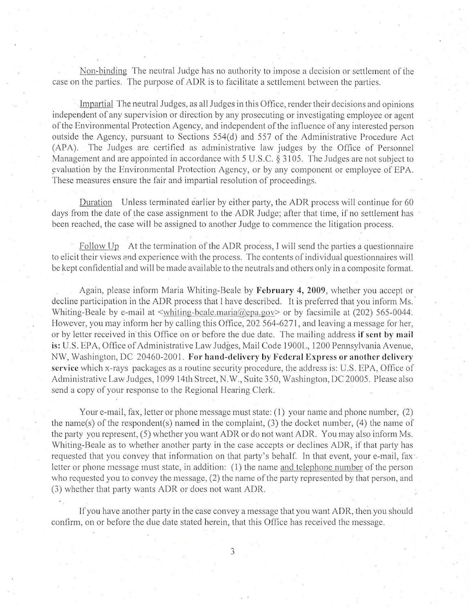Non-binding The neutral Judge has no authority to impose a decision or settlement of the case on the parties. The purpose of ADR is to facilitate a settlement between the parties.

Impartial The neutral Judges, as all Judges in this Office, render their decisions and opinions independent of any supervision or direction by any prosecuting or investigating employee or agent ofthe Environmental Protection Agency, and independent ofthe influence of any interested person outside the Agency, pursuant to Sections 554(d) and 557 of the Administrative Procedure Act (APA). The Judges are certified as administrative law judges by the Office of Personnel Management and are appointed in accordance with 5 U.S.C. § 3105. The Judges are not subject to evaluation by the Environmental Protection Agency, or by any component or employee of EPA. These measures ensure the fair and impartial resolution of proceedings.

Duration Unless terminated earlier by either party, the ADR process will continue for 60 days from the date of the case assignment to the ADR Judge; after that time, if no settlement has been reached, the case will be assigned to another Judge to commence the litigation process.

Follow Up At the termination of the ADR process, I will send the parties a questionnaire to elicit their views and experience with the process. The contents of individual questionnaires will be kept confidential and will be made available to the neutrals and others only in a composite format.

Again, please inform Maria Whiting-Beale by February 4, 2009, whether you accept or decline participation in the ADR process that I have described. It is preferred that you inform Ms. Whiting-Beale by e-mail at  $\leq$ whiting-beale.maria@epa.gov> or by facsimile at (202) 565-0044. However, you may inform her by calling this Office, 202 564-6271, and leaving a message for her, or by letter received in this Office on or before the due date. The mailing address if sent by mail is: U.S. EPA, Office of Administrative Law Judges, Mail Code 1900L, 1200 Pennsylvania Avenue, NW, Washington, DC 20460-2001. For hand-delivery by Federal Express or another delivery service which x-rays packages as a routine security procedure, the address is: U.S. EPA, Office of Administrative Law Judges, l 099 14th Street, N.W., Suite 350, Washington, DC 20005. Please also send a copy of your response to the Regional Hearing Clerk.

Your e-mail, fax, letter or phone message must state: (I) your name and phone number, (2) the name(s) of the respondent(s) named in the complaint, (3) the docket number, (4) the name of the party you represent, (5) whether you want ADR or do not want ADR. You may also inform Ms. Whiting-Beale as to whether another party in the case accepts or declines ADR, if that party has requested that you convey that information on that party's behalf. In that event, your e-mail, fax: letter or phone message must state, in addition: (1) the name and telephone number of the person who requested you to convey the message, (2) the name of the party represented by that person, and (3) whether that party wants ADR or does not want ADR.

If you have another party in the case convey a message that you want ADR, then you should confirm, on or before the due date stated herein, that this Office has received the message.